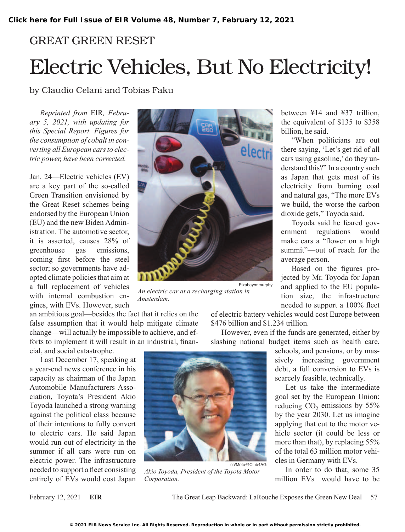## GREAT GREEN RESET Electric Vehicles, But No Electricity!

by Claudio Celani and Tobias Faku

*Reprinted from* EIR*, February 5, 2021, with updating for this Special Report. Figures for the consumption of cobalt in converting all European cars to electric power, have been corrected.*

Jan. 24—Electric vehicles (EV) are a key part of the so-called Green Transition envisioned by the Great Reset schemes being endorsed by the European Union (EU) and the new Biden Administration. The automotive sector, it is asserted, causes 28% of greenhouse gas emissions, coming first before the steel sector; so governments have adopted climate policies that aim at a full replacement of vehicles with internal combustion engines, with EVs. However, such

an ambitious goal—besides the fact that it relies on the false assumption that it would help mitigate climate change—will actually be impossible to achieve, and efforts to implement it will result in an industrial, financial, and social catastrophe.

Last December 17, speaking at a year-end news conference in his capacity as chairman of the Japan Automobile Manufacturers Association, Toyota's President Akio Toyoda launched a strong warning against the political class because of their intentions to fully convert to electric cars. He said Japan would run out of electricity in the summer if all cars were run on electric power. The infrastructure needed to support a fleet consisting entirely of EVs would cost Japan



*An electric car at a recharging station in Amsterdam.*

between ¥14 and ¥37 trillion, the equivalent of \$135 to \$358 billion, he said.

"When politicians are out there saying, 'Let's get rid of all cars using gasoline,' do they understand this?" In a country such as Japan that gets most of its electricity from burning coal and natural gas, "The more EVs we build, the worse the carbon dioxide gets," Toyoda said.

Toyoda said he feared government regulations would make cars a "flower on a high summit"—out of reach for the average person.

Based on the figures projected by Mr. Toyoda for Japan and applied to the EU population size, the infrastructure needed to support a 100% fleet

of electric battery vehicles would cost Europe between \$476 billion and \$1.234 trillion.

However, even if the funds are generated, either by slashing national budget items such as health care,

> schools, and pensions, or by massively increasing government debt, a full conversion to EVs is scarcely feasible, technically.

> Let us take the intermediate goal set by the European Union: reducing  $CO<sub>2</sub>$  emissions by 55% by the year 2030. Let us imagine applying that cut to the motor vehicle sector (it could be less or more than that), by replacing 55% of the total 63 million motor vehicles in Germany with EVs.

> In order to do that, some 35 million EVs would have to be

February 12, 2021 **EIR** The Great Leap Backward: LaRouche Exposes the Green New Deal 57

cc/Moto@Club4AG

*Akio Toyoda, President of the Toyota Motor* 

*Corporation.*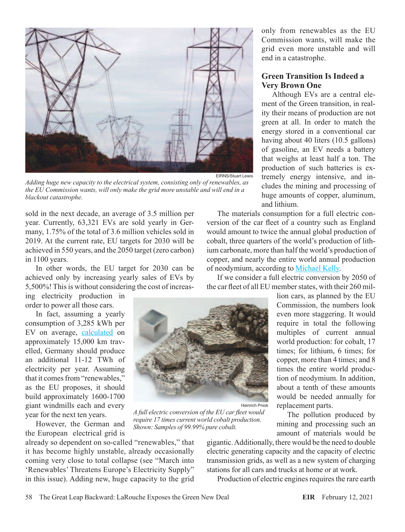

*Adding huge new capacity to the electrical system, consisting only of renewables, as the EU Commission wants, will only make the grid more unstable and will end in a blackout catastrophe.*

sold in the next decade, an average of 3.5 million per year. Currently, 63,321 EVs are sold yearly in Germany, 1.75% of the total of 3.6 million vehicles sold in 2019. At the current rate, EU targets for 2030 will be achieved in 550 years, and the 2050 target (zero carbon) in 1100 years.

In other words, the EU target for 2030 can be achieved only by increasing yearly sales of EVs by 5,500%! This is without considering the cost of increas-

ing electricity production in order to power all those cars.

In fact, assuming a yearly consumption of 3,285 kWh per EV on average, [calculated](https://www.virta.global/blog/ev-charging-101-how-much-electricity-does-an-electric-car-use) on approximately 15,000 km travelled, Germany should produce an additional 11-12 TWh of electricity per year. Assuming that it comes from "renewables," as the EU proposes, it should build approximately 1600-1700 giant windmills each and every year for the next ten years.

However, the German and the European electrical grid is

already so dependent on so-called "renewables," that it has become highly unstable, already occasionally coming very close to total collapse (see "March into 'Renewables' Threatens Europe's Electricity Supply" in this issue). Adding new, huge capacity to the grid



*A full electric conversion of the EU car fleet would require 17 times current world cobalt production. Shown: Samples of 99.99% pure cobalt.*

only from renewables as the EU Commission wants, will make the grid even more unstable and will end in a catastrophe.

## **Green Transition Is Indeed a Very Brown One**

Although EVs are a central element of the Green transition, in reality their means of production are not green at all. In order to match the energy stored in a conventional car having about 40 liters (10.5 gallons) of gasoline, an EV needs a battery that weighs at least half a ton. The production of such batteries is extremely energy intensive, and includes the mining and processing of huge amounts of copper, aluminum, and lithium.

The materials consumption for a full electric conversion of the car fleet of a country such as England would amount to twice the annual global production of cobalt, three quarters of the world's production of lithium carbonate, more than half the world's production of copper, and nearly the entire world annual production of neodymium, according to [Michael Kelly.](https://www.thegwpf.org/content/uploads/2020/05/KellyDecarb-1.pdf)

If we consider a full electric conversion by 2050 of the car fleet of all EU member states, with their 260 mil-

> lion cars, as planned by the EU Commission, the numbers look even more staggering. It would require in total the following multiples of current annual world production: for cobalt, 17 times; for lithium, 6 times; for copper, more than 4 times; and 8 times the entire world production of neodymium. In addition, about a tenth of these amounts would be needed annually for replacement parts.

The pollution produced by mining and processing such an amount of materials would be

gigantic. Additionally, there would be the need to double electric generating capacity and the capacity of electric transmission grids, as well as a new system of charging stations for all cars and trucks at home or at work.

Production of electric engines requires the rare earth